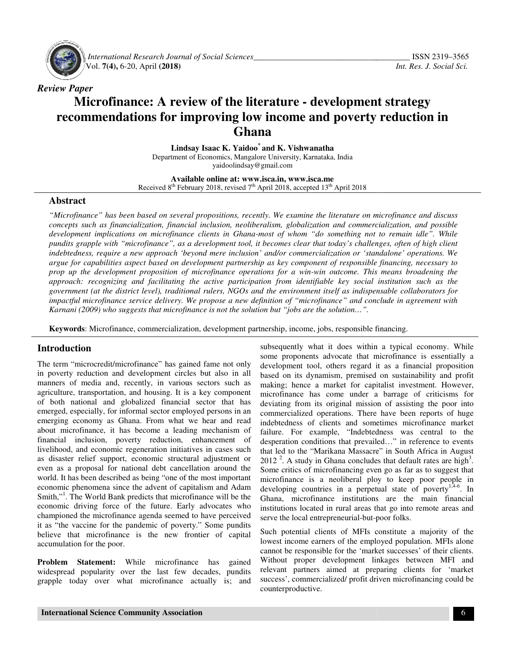

 *International Research Journal Journal of Social Sciences\_\_\_\_\_\_\_\_\_\_\_\_\_\_\_\_\_\_\_\_\_\_\_\_\_\_\_\_\_\_\_\_\_\_\_* Vol. **7(4),** 6-20, April **(2018)**

# *Review Paper*  **Microfinance: A review of the literature - development strategy** recommendations for improving low income and poverty reduction in<br>**Ghana**

**Lindsay Isaac K. Yaidoo Lindsay Isaac \* and K. Vishwanatha**  Department of Economics, Mangalore University, Karnataka, India<br>yaidoolindsay@gmail.com

**Available Available online at: www.isca.in, www.isca.me**  Received  $8<sup>th</sup>$  February 2018, revised 7<sup>th</sup> April 2018, accepted 13<sup>th</sup> April 2018

#### **Abstract**

*"Microfinance" has been based on several propositions, recently. We examine the literature on microfinance and discuss concepts such as financialization, financial inclusion, neoliberalism, globalization and commercialization, and possible*  "Microfinance" has been based on several propositions, recently. We examine the literature on microfinance and discuss<br>concepts such as financialization, financial inclusion, neoliberalism, globalization and commercializat *pundits grapple with "microfinance", as a development tool, it becomes clear that today's challenges, often of high client indebtedness, require a new approach 'beyond mere inclusion' and/or commercialization or 'standalone' operations. We argue for capabilities aspect based on development partnership as key component of responsible financing, necessary to prop up the development proposition of micr approach: recognizing and facilitating the active participation from identifiable key social institution such as the*  approach: recognizing and facilitating the active participation from identifiable key social institution such as the<br>government (at the district level), traditional rulers, NGOs and the environment itself as indispensable *impactful microfinance service delivery. We propose a new definition of "microfinance" and conclude in agreement with*  impactful microfinance service delivery. We propose a new definition of "microfinance" and conclude in<br>Karnani (2009) who suggests that microfinance is not the solution but "jobs are the solution…". pundits grapple with "microfinance", as a development tool, it becomes clear that today's challenges, often of high client<br>indebtedness, require a new approach 'beyond mere inclusion' and/or commercialization or 'standalon *most of whom "do something not to remain idle". While*<br>*t* becomes clear that today's challenges, often of high client<br>' and/or commercialization or 'standalone' operations. We<br>ip as key component of responsible financing

**Keywords**: Microfinance, commercialization, development partnership, income, jobs, responsible financing.

### **Introduction**

The term "microcredit/microfinance" has gained fame not only in poverty reduction and development circles but also in all manners of media and, recently, in various sectors such as agriculture, transportation, and housing. It is a key component of both national and globalized financial sector that has emerged, especially, for informal sector employed persons in an emerging economy as Ghana. From what we hear and read about microfinance, it has become a leading mechanism of financial inclusion, poverty reduction, enhancement of livelihood, and economic regeneration initiatives in cases such as disaster relief support, economic structural adjustment or even as a proposal for national debt cancellation around the world. It has been described as being "one of the most important economic phenomena since the advent of capitalism and Adam Smith,"<sup>1</sup>. The World Bank predicts that microfinance will be the economic driving force of the future. Early advocates who championed the microfinance agenda seemed to have perceived it as "the vaccine for the pandemic of poverty." believe that microfinance is the new frontier of capital accumulation for the poor. **Examplement School Examplement School School School School Subseque Some proverty reduction**<br>The term "microcredit/microfinance" has gained fame not only developr<br>in poverty reduction and development circles but also in a execution, it has become a leading mechanism of inclusion, poverty reduction, enhancement of and economic regeneration initiatives in cases such relief support, economic structural adjustment or proposal for national debt

**Problem Statement:** While microfinance has gained widespread popularity over the last few decades, pundits grapple today over what microfinance actually is; a the new frontier of capital<br>microfinance has gained<br>e last few decades, pundits<br>crofinance actually is; and

subsequently what it does within a typical economy. While some proponents advocate that microfinance is essentially a development tool, others regard it as a financial proposition based on its dynamism, premised on sustainability and profit making; hence a market for capitalist investment. However, microfinance has come under a barrage of criticisms for deviating from its original mission of assisting the poor into commercialized operations. There have been reports of huge indebtedness of clients and sometimes microfinance market failure. For example, "Indebtedness was central to the desperation conditions that prevailed…" in reference to events that led to the "Marikana Massacre" in South Africa in August 2012<sup>2</sup>. A study in Ghana concludes that default rates are high<sup>3</sup>. Some critics of microfinancing even go as far as to suggest that microfinance is a neoliberal ploy to keep poor people in Some critics of microfinancing even go as far as to suggest that microfinance is a neoliberal ploy to keep poor people in developing countries in a perpetual state of poverty<sup>1,4-6</sup>. In Ghana, microfinance institutions are the main financial institutions located in rural areas that go into remote areas and serve the local entrepreneurial-but-poor folks. ently what it does within a typical economy. While<br>oponents advocate that microfinance is essentially i<br>ment tool, others regard it as a financial proposition<br>in its dynamism, premised on sustainability and profi<br>hence a m Ghana, microfinance institutions are the institutions located in rural areas that go into serve the local entrepreneurial-but-poor folks.

Such potential clients of MFIs constitute a majority of the lowest income earners of the employed population. MFIs alone cannot be responsible for the 'market successes' of their clients. Such potential clients of MFIs constitute a majority of the lowest income earners of the employed population. MFIs alone cannot be responsible for the 'market successes' of their clients. Without proper development linkage relevant partners aimed at preparing clients for 'market relevant partners aimed at preparing clients for 'market success', commercialized/ profit driven microfinancing could be counterproductive.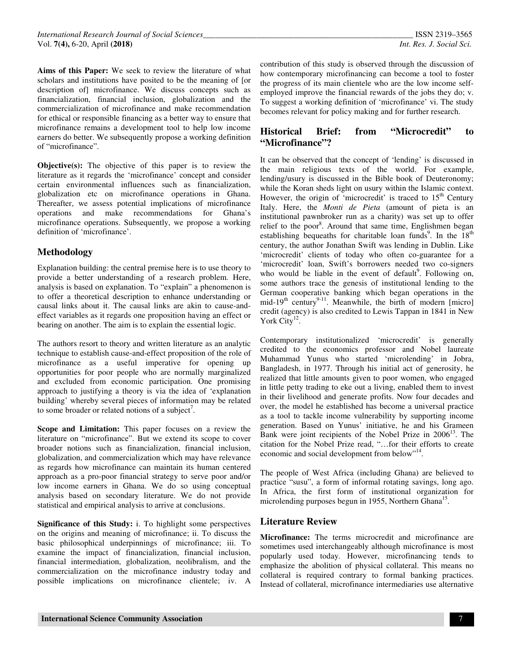**Aims of this Paper:** We seek to review the literature of what scholars and institutions have posited to be the meaning of [or description of] microfinance. We discuss concepts such as financialization, financial inclusion, globalization and the commercialization of microfinance and make recommendation for ethical or responsible financing as a better way to ensure that microfinance remains a development tool to help low income earners do better. We subsequently propose a working definition of "microfinance".

**Objective(s):** The objective of this paper is to review the literature as it regards the 'microfinance' concept and consider certain environmental influences such as financialization, globalization etc on microfinance operations in Ghana. Thereafter, we assess potential implications of microfinance operations and make recommendations for Ghana's microfinance operations. Subsequently, we propose a working definition of 'microfinance'.

## **Methodology**

Explanation building: the central premise here is to use theory to provide a better understanding of a research problem. Here, analysis is based on explanation. To "explain" a phenomenon is to offer a theoretical description to enhance understanding or causal links about it. The causal links are akin to cause-andeffect variables as it regards one proposition having an effect or bearing on another. The aim is to explain the essential logic.

The authors resort to theory and written literature as an analytic technique to establish cause-and-effect proposition of the role of microfinance as a useful imperative for opening up opportunities for poor people who are normally marginalized and excluded from economic participation. One promising approach to justifying a theory is via the idea of 'explanation building' whereby several pieces of information may be related to some broader or related notions of a subject<sup>7</sup>.

**Scope and Limitation:** This paper focuses on a review the literature on "microfinance". But we extend its scope to cover broader notions such as financialization, financial inclusion, globalization, and commercialization which may have relevance as regards how microfinance can maintain its human centered approach as a pro-poor financial strategy to serve poor and/or low income earners in Ghana. We do so using conceptual analysis based on secondary literature. We do not provide statistical and empirical analysis to arrive at conclusions.

**Significance of this Study:** i. To highlight some perspectives on the origins and meaning of microfinance; ii. To discuss the basic philosophical underpinnings of microfinance; iii. To examine the impact of financialization, financial inclusion, financial intermediation, globalization, neolibralism, and the commercialization on the microfinance industry today and possible implications on microfinance clientele; iv. A

contribution of this study is observed through the discussion of how contemporary microfinancing can become a tool to foster the progress of its main clientele who are the low income selfemployed improve the financial rewards of the jobs they do; v. To suggest a working definition of 'microfinance' vi. The study becomes relevant for policy making and for further research.

## **Historical Brief: from "Microcredit" to "Microfinance"?**

It can be observed that the concept of 'lending' is discussed in the main religious texts of the world. For example, lending/usury is discussed in the Bible book of Deuteronomy; while the Koran sheds light on usury within the Islamic context. However, the origin of 'microcredit' is traced to  $15<sup>th</sup>$  Century Italy. Here, the *Monti de Pieta* (amount of pieta is an institutional pawnbroker run as a charity) was set up to offer relief to the poor<sup>8</sup>. Around that same time, Englishmen began establishing bequeaths for charitable loan funds<sup>9</sup>. In the  $18<sup>th</sup>$ century, the author Jonathan Swift was lending in Dublin. Like 'microcredit' clients of today who often co-guarantee for a 'microcredit' loan, Swift's borrowers needed two co-signers who would be liable in the event of default<sup>9</sup>. Following on, some authors trace the genesis of institutional lending to the German cooperative banking which began operations in the mid-19<sup>th</sup> century<sup>9-11</sup>. Meanwhile, the birth of modern [micro] credit (agency) is also credited to Lewis Tappan in 1841 in New York City $^{12}$ .

Contemporary institutionalized 'microcredit' is generally credited to the economics professor and Nobel laureate Muhammad Yunus who started 'microlending' in Jobra, Bangladesh, in 1977. Through his initial act of generosity, he realized that little amounts given to poor women, who engaged in little petty trading to eke out a living, enabled them to invest in their livelihood and generate profits. Now four decades and over, the model he established has become a universal practice as a tool to tackle income vulnerability by supporting income generation. Based on Yunus' initiative, he and his Grameen Bank were joint recipients of the Nobel Prize in  $2006<sup>13</sup>$ . The citation for the Nobel Prize read, "…for their efforts to create economic and social development from below"<sup>14</sup>.

The people of West Africa (including Ghana) are believed to practice "susu", a form of informal rotating savings, long ago. In Africa, the first form of institutional organization for microlending purposes begun in 1955, Northern Ghana<sup>15</sup>.

### **Literature Review**

**Microfinance:** The terms microcredit and microfinance are sometimes used interchangeably although microfinance is most popularly used today. However, microfinancing tends to emphasize the abolition of physical collateral. This means no collateral is required contrary to formal banking practices. Instead of collateral, microfinance intermediaries use alternative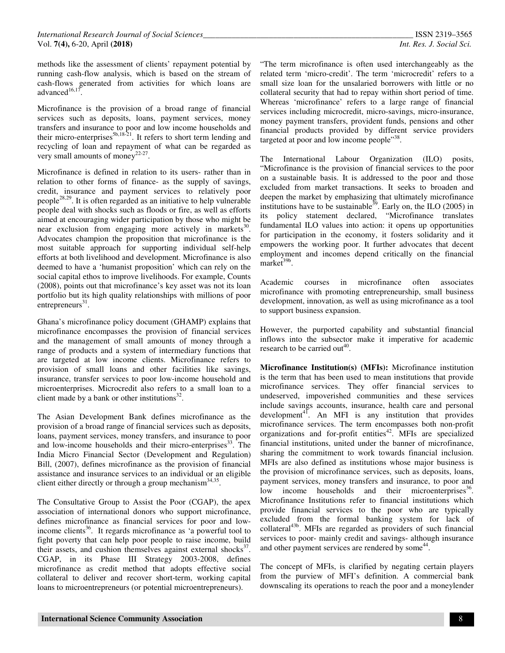methods like the assessment of clients' repayment potential by running cash-flow analysis, which is based on the stream of cash-flows generated from activities for which loans are advanced $16,17$ .

Microfinance is the provision of a broad range of financial services such as deposits, loans, payment services, money transfers and insurance to poor and low income households and their micro-enterprises<sup>5b,18-21</sup>. It refers to short term lending and recycling of loan and repayment of what can be regarded as very small amounts of money<sup>22-27</sup>.

Microfinance is defined in relation to its users- rather than in relation to other forms of finance- as the supply of savings, credit, insurance and payment services to relatively poor people<sup>28,29</sup>. It is often regarded as an initiative to help vulnerable people deal with shocks such as floods or fire, as well as efforts aimed at encouraging wider participation by those who might be near exclusion from engaging more actively in markets<sup>30</sup>. Advocates champion the proposition that microfinance is the most suitable approach for supporting individual self-help efforts at both livelihood and development. Microfinance is also deemed to have a 'humanist proposition' which can rely on the social capital ethos to improve livelihoods. For example, Counts (2008), points out that microfinance's key asset was not its loan portfolio but its high quality relationships with millions of poor  $entrepreneurs<sup>31</sup>$ .

Ghana's microfinance policy document (GHAMP) explains that microfinance encompasses the provision of financial services and the management of small amounts of money through a range of products and a system of intermediary functions that are targeted at low income clients. Microfinance refers to provision of small loans and other facilities like savings, insurance, transfer services to poor low-income household and microenterprises. Microcredit also refers to a small loan to a client made by a bank or other institutions $^{32}$ .

The Asian Development Bank defines microfinance as the provision of a broad range of financial services such as deposits, loans, payment services, money transfers, and insurance to poor and low-income households and their micro-enterprises $^{33}$ . The India Micro Financial Sector (Development and Regulation) Bill, (2007), defines microfinance as the provision of financial assistance and insurance services to an individual or an eligible client either directly or through a group mechanism $^{34,35}$ .

The Consultative Group to Assist the Poor (CGAP), the apex association of international donors who support microfinance, defines microfinance as financial services for poor and lowincome clients<sup>36</sup>. It regards microfinance as 'a powerful tool to fight poverty that can help poor people to raise income, build their assets, and cushion themselves against external shocks<sup>37</sup>. CGAP, in its Phase III Strategy 2003-2008, defines microfinance as credit method that adopts effective social collateral to deliver and recover short-term, working capital loans to microentrepreneurs (or potential microentrepreneurs).

"The term microfinance is often used interchangeably as the related term 'micro-credit'. The term 'microcredit' refers to a small size loan for the unsalaried borrowers with little or no collateral security that had to repay within short period of time. Whereas 'microfinance' refers to a large range of financial services including microcredit, micro-savings, micro-insurance, money payment transfers, provident funds, pensions and other financial products provided by different service providers targeted at poor and low income people"<sup>38</sup>.

The International Labour Organization (ILO) posits, "Microfinance is the provision of financial services to the poor on a sustainable basis. It is addressed to the poor and those excluded from market transactions. It seeks to broaden and deepen the market by emphasizing that ultimately microfinance institutions have to be sustainable<sup>39</sup>. Early on, the ILO (2005) in its policy statement declared, "Microfinance translates fundamental ILO values into action: it opens up opportunities for participation in the economy, it fosters solidarity and it empowers the working poor. It further advocates that decent employment and incomes depend critically on the financial market<sup>39b</sup>.

Academic courses in microfinance often associates microfinance with promoting entrepreneurship, small business development, innovation, as well as using microfinance as a tool to support business expansion.

However, the purported capability and substantial financial inflows into the subsector make it imperative for academic research to be carried out<sup>40</sup>.

**Microfinance Institution(s) (MFIs):** Microfinance institution is the term that has been used to mean institutions that provide microfinance services. They offer financial services to undeserved, impoverished communities and these services include savings accounts, insurance, health care and personal development<sup>41</sup>. An MFI is any institution that provides microfinance services. The term encompasses both non-profit organizations and for-profit entities<sup>42</sup>. MFIs are specialized financial institutions, united under the banner of microfinance, sharing the commitment to work towards financial inclusion. MFIs are also defined as institutions whose major business is the provision of microfinance services, such as deposits, loans, payment services, money transfers and insurance, to poor and low income households and their microenterprises<sup>36</sup>. Microfinance Institutions refer to financial institutions which provide financial services to the poor who are typically excluded from the formal banking system for lack of collateral<sup>43b</sup>. MFIs are regarded as providers of such financial services to poor- mainly credit and savings- although insurance and other payment services are rendered by some<sup>44</sup>.

The concept of MFIs, is clarified by negating certain players from the purview of MFI's definition. A commercial bank downscaling its operations to reach the poor and a moneylender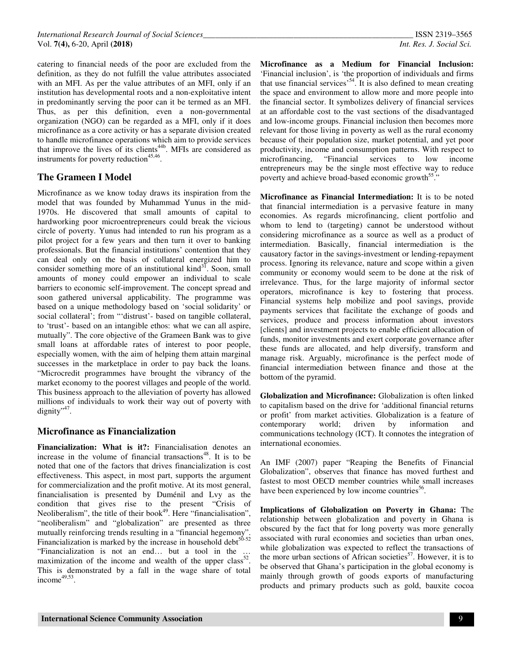catering to financial needs of the poor are excluded from the definition, as they do not fulfill the value attributes associated with an MFI. As per the value attributes of an MFI, only if an institution has developmental roots and a non-exploitative intent in predominantly serving the poor can it be termed as an MFI. Thus, as per this definition, even a non-governmental organization (NGO) can be regarded as a MFI, only if it does microfinance as a core activity or has a separate division created to handle microfinance operations which aim to provide services that improve the lives of its clients<sup>44b</sup>. MFIs are considered as instruments for poverty reduction<sup>45,46</sup>.

## **The Grameen I Model**

Microfinance as we know today draws its inspiration from the model that was founded by Muhammad Yunus in the mid-1970s. He discovered that small amounts of capital to hardworking poor microentrepreneurs could break the vicious circle of poverty. Yunus had intended to run his program as a pilot project for a few years and then turn it over to banking professionals. But the financial institutions' contention that they can deal only on the basis of collateral energized him to consider something more of an institutional kind $31$ . Soon, small amounts of money could empower an individual to scale barriers to economic self-improvement. The concept spread and soon gathered universal applicability. The programme was based on a unique methodology based on 'social solidarity' or social collateral'; from "'distrust'- based on tangible collateral, to 'trust'- based on an intangible ethos: what we can all aspire, mutually". The core objective of the Grameen Bank was to give small loans at affordable rates of interest to poor people, especially women, with the aim of helping them attain marginal successes in the marketplace in order to pay back the loans. "Microcredit programmes have brought the vibrancy of the market economy to the poorest villages and people of the world. This business approach to the alleviation of poverty has allowed millions of individuals to work their way out of poverty with dignity",47.

## **Microfinance as Financialization**

**Financialization: What is it?:** Financialisation denotes an increase in the volume of financial transactions<sup>48</sup>. It is to be noted that one of the factors that drives financialization is cost effectiveness. This aspect, in most part, supports the argument for commercialization and the profit motive. At its most general, financialisation is presented by Duménil and Lvy as the condition that gives rise to the present "Crisis of Neoliberalism", the title of their book<sup>49</sup>. Here "financialisation", "neoliberalism" and "globalization" are presented as three mutually reinforcing trends resulting in a "financial hegemony". Financialization is marked by the increase in household debt $50-52$ "Financialization is not an end… but a tool in the … maximization of the income and wealth of the upper class<sup>52</sup>. This is demonstrated by a fall in the wage share of total income $49,53$ .

**Microfinance as a Medium for Financial Inclusion:**  'Financial inclusion', is 'the proportion of individuals and firms that use financial services'<sup>54</sup>. It is also defined to mean creating the space and environment to allow more and more people into the financial sector. It symbolizes delivery of financial services at an affordable cost to the vast sections of the disadvantaged and low-income groups. Financial inclusion then becomes more relevant for those living in poverty as well as the rural economy because of their population size, market potential, and yet poor productivity, income and consumption patterns. With respect to microfinancing, "Financial services to low income entrepreneurs may be the single most effective way to reduce poverty and achieve broad-based economic growth<sup>55</sup>."

**Microfinance as Financial Intermediation:** It is to be noted that financial intermediation is a pervasive feature in many economies. As regards microfinancing, client portfolio and whom to lend to (targeting) cannot be understood without considering microfinance as a source as well as a product of intermediation. Basically, financial intermediation is the causatory factor in the savings-investment or lending-repayment process. Ignoring its relevance, nature and scope within a given community or economy would seem to be done at the risk of irrelevance. Thus, for the large majority of informal sector operators, microfinance is key to fostering that process. Financial systems help mobilize and pool savings, provide payments services that facilitate the exchange of goods and services, produce and process information about investors [clients] and investment projects to enable efficient allocation of funds, monitor investments and exert corporate governance after these funds are allocated, and help diversify, transform and manage risk. Arguably, microfinance is the perfect mode of financial intermediation between finance and those at the bottom of the pyramid.

**Globalization and Microfinance:** Globalization is often linked to capitalism based on the drive for 'additional financial returns or profit' from market activities. Globalization is a feature of contemporary world; driven by information and communications technology (ICT). It connotes the integration of international economies.

An IMF (2007) paper "Reaping the Benefits of Financial Globalization", observes that finance has moved furthest and fastest to most OECD member countries while small increases have been experienced by low income countries<sup>56</sup>.

**Implications of Globalization on Poverty in Ghana:** The relationship between globalization and poverty in Ghana is obscured by the fact that for long poverty was more generally associated with rural economies and societies than urban ones, while globalization was expected to reflect the transactions of the more urban sections of African societies<sup>57</sup>. However, it is to be observed that Ghana's participation in the global economy is mainly through growth of goods exports of manufacturing products and primary products such as gold, bauxite cocoa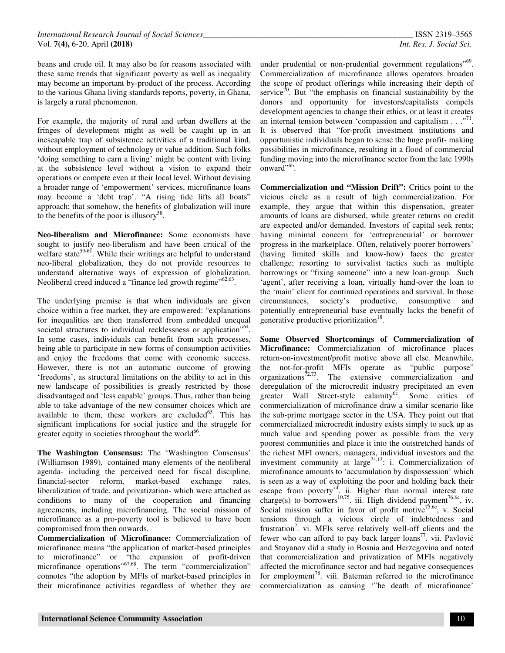beans and crude oil. It may also be for reasons associated with these same trends that significant poverty as well as inequality may become an important by-product of the process. According to the various Ghana living standards reports, poverty, in Ghana, is largely a rural phenomenon.

For example, the majority of rural and urban dwellers at the fringes of development might as well be caught up in an inescapable trap of subsistence activities of a traditional kind, without employment of technology or value addition. Such folks 'doing something to earn a living' might be content with living at the subsistence level without a vision to expand their operations or compete even at their local level. Without devising a broader range of 'empowerment' services, microfinance loans may become a 'debt trap'. "A rising tide lifts all boats" approach; that somehow, the benefits of globalization will inure to the benefits of the poor is illusory<sup>58</sup>.

**Neo-liberalism and Microfinance:** Some economists have sought to justify neo-liberalism and have been critical of the welfare state<sup>59-61</sup>. While their writings are helpful to understand neo-liberal globalization, they do not provide resources to understand alternative ways of expression of globalization. Neoliberal creed induced a "finance led growth regime"<sup>62,63</sup>.

The underlying premise is that when individuals are given choice within a free market, they are empowered: "explanations for inequalities are then transferred from embedded unequal societal structures to individual recklessness or application<sup>7,64</sup>. In some cases, individuals can benefit from such processes, being able to participate in new forms of consumption activities and enjoy the freedoms that come with economic success. However, there is not an automatic outcome of growing 'freedoms', as structural limitations on the ability to act in this new landscape of possibilities is greatly restricted by those disadvantaged and 'less capable' groups. Thus, rather than being able to take advantage of the new consumer choices which are available to them, these workers are excluded $^{65}$ . This has significant implications for social justice and the struggle for greater equity in societies throughout the world<sup>66</sup>.

**The Washington Consensus:** The 'Washington Consensus' (Williamson 1989), contained many elements of the neoliberal agenda- including the perceived need for fiscal discipline, financial-sector reform, market-based exchange rates, liberalization of trade, and privatization- which were attached as conditions to many of the cooperation and financing agreements, including microfinancing. The social mission of microfinance as a pro-poverty tool is believed to have been compromised from then onwards.

**Commercialization of Microfinance:** Commercialization of microfinance means "the application of market-based principles to microfinance" or "the expansion of profit-driven microfinance operations"<sup>67,68</sup>. The term "commercialization" connotes "the adoption by MFIs of market-based principles in their microfinance activities regardless of whether they are

under prudential or non-prudential government regulations"<sup>69</sup>. Commercialization of microfinance allows operators broaden the scope of product offerings while increasing their depth of service<sup>70</sup>. But "the emphasis on financial sustainability by the donors and opportunity for investors/capitalists compels development agencies to change their ethics, or at least it creates an internal tension between 'compassion and capitalism  $\ldots$ <sup>71</sup>. It is observed that "for-profit investment institutions and opportunistic individuals began to sense the huge profit- making possibilities in microfinance, resulting in a flood of commercial funding moving into the microfinance sector from the late 1990s onward"<sup>6b</sup>.

**Commercialization and "Mission Drift":** Critics point to the vicious circle as a result of high commercialization. For example, they argue that within this dispensation, greater amounts of loans are disbursed, while greater returns on credit are expected and/or demanded. Investors of capital seek rents; having minimal concern for 'entrepreneurial' or borrower progress in the marketplace. Often, relatively poorer borrowers' (having limited skills and know-how) faces the greater challenge; resorting to survivalist tactics such as multiple borrowings or "fixing someone" into a new loan-group. Such 'agent', after receiving a loan, virtually hand-over the loan to the 'main' client for continued operations and survival. In those circumstances, society's productive, consumptive and potentially entrepreneurial base eventually lacks the benefit of generative productive prioritization<sup>18</sup>.

**Some Observed Shortcomings of Commercialization of Microfinance:** Commercialization of microfinance places return-on-investment/profit motive above all else. Meanwhile, the not-for-profit MFIs operate as "public purpose" organizations $\hat{7}^{2,73}$ . The extensive commercialization and deregulation of the microcredit industry precipitated an even greater Wall Street-style calamity<sup>6c</sup>. Some critics of commercialization of microfinance draw a similar scenario like the sub-prime mortgage sector in the USA. They point out that commercialized microcredit industry exists simply to suck up as much value and spending power as possible from the very poorest communities and place it into the outstretched hands of the richest MFI owners, managers, individual investors and the investment community at large<sup>74,13</sup>: i. Commercialization of microfinance amounts to 'accumulation by dispossession' which is seen as a way of exploiting the poor and holding back their escape from poverty<sup>74</sup>. ii. Higher than normal interest rate charge(s) to borrowers<sup>10,75</sup>. iii. High dividend payment<sup>76,6c</sup>, iv. Social mission suffer in favor of profit motive<sup>75,6c</sup>, v. Social tensions through a vicious circle of indebtedness and frustration<sup>2</sup>. vi. MFIs serve relatively well-off clients and the fewer who can afford to pay back larger loans<sup>77</sup>. vii. Pavlović and Stoyanov did a study in Bosnia and Herzegovina and noted that commercialization and privatization of MFIs negatively affected the microfinance sector and had negative consequences for employment<sup>78</sup>. viii. Bateman referred to the microfinance commercialization as causing '"he death of microfinance'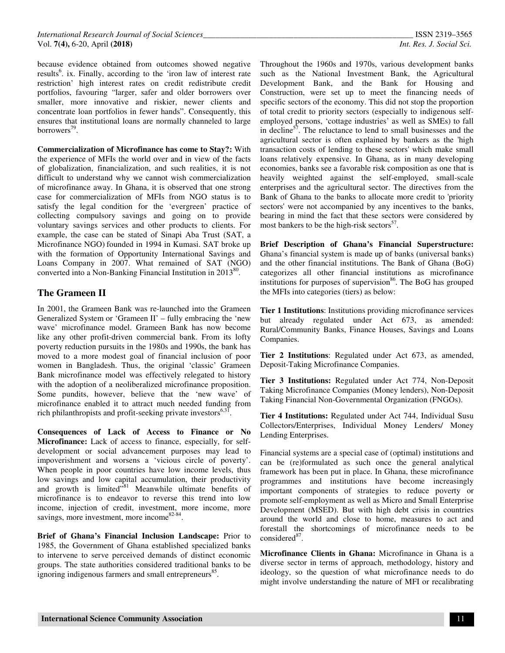because evidence obtained from outcomes showed negative results<sup>6</sup>. ix. Finally, according to the 'iron law of interest rate restriction' high interest rates on credit redistribute credit portfolios, favouring "larger, safer and older borrowers over smaller, more innovative and riskier, newer clients and concentrate loan portfolios in fewer hands". Consequently, this ensures that institutional loans are normally channeled to large borrowers<sup>79</sup>.

**Commercialization of Microfinance has come to Stay?:** With the experience of MFIs the world over and in view of the facts of globalization, financialization, and such realities, it is not difficult to understand why we cannot wish commercialization of microfinance away. In Ghana, it is observed that one strong case for commercialization of MFIs from NGO status is to satisfy the legal condition for the 'evergreen' practice of collecting compulsory savings and going on to provide voluntary savings services and other products to clients. For example, the case can be stated of Sinapi Aba Trust (SAT, a Microfinance NGO) founded in 1994 in Kumasi. SAT broke up with the formation of Opportunity International Savings and Loans Company in 2007. What remained of SAT (NGO) converted into a Non-Banking Financial Institution in  $2013^{80}$ .

## **The Grameen II**

In 2001, the Grameen Bank was re-launched into the Grameen Generalized System or 'Grameen II' – fully embracing the 'new wave' microfinance model. Grameen Bank has now become like any other profit-driven commercial bank. From its lofty poverty reduction pursuits in the 1980s and 1990s, the bank has moved to a more modest goal of financial inclusion of poor women in Bangladesh. Thus, the original 'classic' Grameen Bank microfinance model was effectively relegated to history with the adoption of a neoliberalized microfinance proposition. Some pundits, however, believe that the 'new wave' of microfinance enabled it to attract much needed funding from rich philanthropists and profit-seeking private investors $6,31$ .

**Consequences of Lack of Access to Finance or No Microfinance:** Lack of access to finance, especially, for selfdevelopment or social advancement purposes may lead to impoverishment and worsens a 'vicious circle of poverty'. When people in poor countries have low income levels, thus low savings and low capital accumulation, their productivity and growth is limited"<sup>81</sup> Meanwhile ultimate benefits of microfinance is to endeavor to reverse this trend into low income, injection of credit, investment, more income, more savings, more investment, more income <sup>82-84</sup>.

**Brief of Ghana's Financial Inclusion Landscape:** Prior to 1985, the Government of Ghana established specialized banks to intervene to serve perceived demands of distinct economic groups. The state authorities considered traditional banks to be ignoring indigenous farmers and small entrepreneurs<sup>85</sup>.

Throughout the 1960s and 1970s, various development banks such as the National Investment Bank, the Agricultural Development Bank, and the Bank for Housing and Construction, were set up to meet the financing needs of specific sectors of the economy. This did not stop the proportion of total credit to priority sectors (especially to indigenous selfemployed persons, 'cottage industries' as well as SMEs) to fall in decline<sup>57</sup>. The reluctance to lend to small businesses and the agricultural sector is often explained by bankers as the 'high transaction costs of lending to these sectors' which make small loans relatively expensive. In Ghana, as in many developing economies, banks see a favorable risk composition as one that is heavily weighted against the self-employed, small-scale enterprises and the agricultural sector. The directives from the Bank of Ghana to the banks to allocate more credit to 'priority sectors' were not accompanied by any incentives to the banks, bearing in mind the fact that these sectors were considered by most bankers to be the high-risk sectors<sup>57</sup>.

**Brief Description of Ghana's Financial Superstructure:**  Ghana's financial system is made up of banks (universal banks) and the other financial institutions. The Bank of Ghana (BoG) categorizes all other financial institutions as microfinance institutions for purposes of supervision<sup>86</sup>. The BoG has grouped the MFIs into categories (tiers) as below:

**Tier 1 Institutions**: Institutions providing microfinance services but already regulated under Act 673, as amended: Rural/Community Banks, Finance Houses, Savings and Loans Companies.

**Tier 2 Institutions**: Regulated under Act 673, as amended, Deposit-Taking Microfinance Companies.

**Tier 3 Institutions:** Regulated under Act 774, Non-Deposit Taking Microfinance Companies (Money lenders), Non-Deposit Taking Financial Non-Governmental Organization (FNGOs).

**Tier 4 Institutions:** Regulated under Act 744, Individual Susu Collectors/Enterprises, Individual Money Lenders/ Money Lending Enterprises.

Financial systems are a special case of (optimal) institutions and can be (re)formulated as such once the general analytical framework has been put in place. In Ghana, these microfinance programmes and institutions have become increasingly important components of strategies to reduce poverty or promote self-employment as well as Micro and Small Enterprise Development (MSED). But with high debt crisis in countries around the world and close to home, measures to act and forestall the shortcomings of microfinance needs to be considered<sup>87</sup>.

**Microfinance Clients in Ghana:** Microfinance in Ghana is a diverse sector in terms of approach, methodology, history and ideology, so the question of what microfinance needs to do might involve understanding the nature of MFI or recalibrating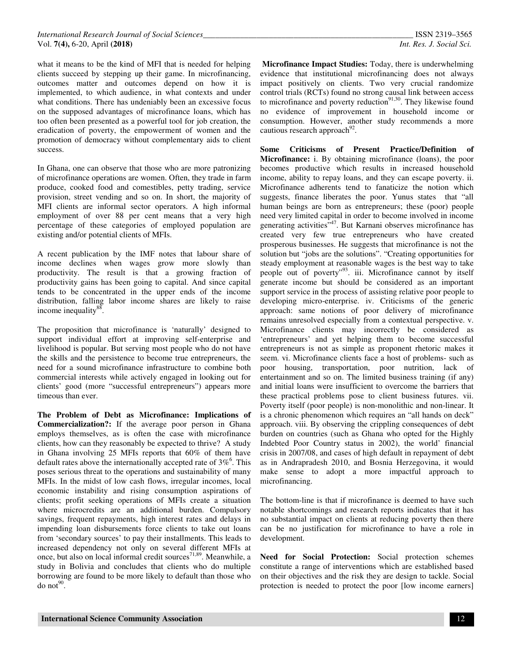what it means to be the kind of MFI that is needed for helping clients succeed by stepping up their game. In microfinancing, outcomes matter and outcomes depend on how it is implemented, to which audience, in what contexts and under what conditions. There has undeniably been an excessive focus on the supposed advantages of microfinance loans, which has too often been presented as a powerful tool for job creation, the eradication of poverty, the empowerment of women and the promotion of democracy without complementary aids to client success.

In Ghana, one can observe that those who are more patronizing of microfinance operations are women. Often, they trade in farm produce, cooked food and comestibles, petty trading, service provision, street vending and so on. In short, the majority of MFI clients are informal sector operators. A high informal employment of over 88 per cent means that a very high percentage of these categories of employed population are existing and/or potential clients of MFIs.

A recent publication by the IMF notes that labour share of income declines when wages grow more slowly than productivity. The result is that a growing fraction of productivity gains has been going to capital. And since capital tends to be concentrated in the upper ends of the income distribution, falling labor income shares are likely to raise income inequality<sup>88</sup>.

The proposition that microfinance is 'naturally' designed to support individual effort at improving self-enterprise and livelihood is popular. But serving most people who do not have the skills and the persistence to become true entrepreneurs, the need for a sound microfinance infrastructure to combine both commercial interests while actively engaged in looking out for clients' good (more "successful entrepreneurs") appears more timeous than ever.

**The Problem of Debt as Microfinance: Implications of Commercialization?:** If the average poor person in Ghana employs themselves, as is often the case with microfinance clients, how can they reasonably be expected to thrive? A study in Ghana involving 25 MFIs reports that 60% of them have default rates above the internationally accepted rate of  $3\%$ <sup>6</sup>. This poses serious threat to the operations and sustainability of many MFIs. In the midst of low cash flows, irregular incomes, local economic instability and rising consumption aspirations of clients; profit seeking operations of MFIs create a situation where microcredits are an additional burden. Compulsory savings, frequent repayments, high interest rates and delays in impending loan disbursements force clients to take out loans from 'secondary sources' to pay their installments. This leads to increased dependency not only on several different MFIs at once, but also on local informal credit sources<sup>71,89</sup>. Meanwhile, a study in Bolivia and concludes that clients who do multiple borrowing are found to be more likely to default than those who  $d$ o not $^{90}$ .

**Microfinance Impact Studies:** Today, there is underwhelming evidence that institutional microfinancing does not always impact positively on clients. Two very crucial randomize control trials (RCTs) found no strong causal link between access to microfinance and poverty reduction<sup>91,30</sup>. They likewise found no evidence of improvement in household income or consumption. However, another study recommends a more cautious research approach<sup>92</sup>.

**Some Criticisms of Present Practice/Definition of Microfinance:** i. By obtaining microfinance (loans), the poor becomes productive which results in increased household income, ability to repay loans, and they can escape poverty. ii. Microfinance adherents tend to fanaticize the notion which suggests, finance liberates the poor. Yunus states that "all human beings are born as entrepreneurs; these (poor) people need very limited capital in order to become involved in income generating activities"<sup>47</sup>. But Karnani observes microfinance has created very few true entrepreneurs who have created prosperous businesses. He suggests that microfinance is not the solution but "jobs are the solutions". "Creating opportunities for steady employment at reasonable wages is the best way to take people out of poverty"<sup>93</sup>. iii. Microfinance cannot by itself generate income but should be considered as an important support service in the process of assisting relative poor people to developing micro-enterprise. iv. Criticisms of the generic approach: same notions of poor delivery of microfinance remains unresolved especially from a contextual perspective. v. Microfinance clients may incorrectly be considered as 'entrepreneurs' and yet helping them to become successful entrepreneurs is not as simple as proponent rhetoric makes it seem. vi. Microfinance clients face a host of problems- such as poor housing, transportation, poor nutrition, lack of entertainment and so on. The limited business training (if any) and initial loans were insufficient to overcome the barriers that these practical problems pose to client business futures. vii. Poverty itself (poor people) is non-monolithic and non-linear. It is a chronic phenomenon which requires an "all hands on deck" approach. viii. By observing the crippling consequences of debt burden on countries (such as Ghana who opted for the Highly Indebted Poor Country status in 2002), the world' financial crisis in 2007/08, and cases of high default in repayment of debt as in Andrapradesh 2010, and Bosnia Herzegovina, it would make sense to adopt a more impactful approach to microfinancing.

The bottom-line is that if microfinance is deemed to have such notable shortcomings and research reports indicates that it has no substantial impact on clients at reducing poverty then there can be no justification for microfinance to have a role in development.

**Need for Social Protection:** Social protection schemes constitute a range of interventions which are established based on their objectives and the risk they are design to tackle. Social protection is needed to protect the poor [low income earners]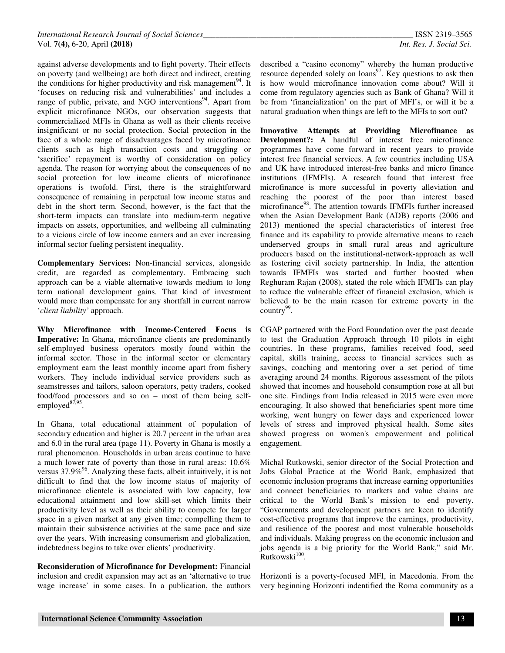against adverse developments and to fight poverty. Their effects on poverty (and wellbeing) are both direct and indirect, creating the conditions for higher productivity and risk management<sup>94</sup>. It 'focuses on reducing risk and vulnerabilities' and includes a range of public, private, and NGO interventions<sup>94</sup>. Apart from explicit microfinance NGOs, our observation suggests that commercialized MFIs in Ghana as well as their clients receive insignificant or no social protection. Social protection in the face of a whole range of disadvantages faced by microfinance clients such as high transaction costs and struggling or 'sacrifice' repayment is worthy of consideration on policy agenda. The reason for worrying about the consequences of no social protection for low income clients of microfinance operations is twofold. First, there is the straightforward consequence of remaining in perpetual low income status and debt in the short term. Second, however, is the fact that the short-term impacts can translate into medium-term negative impacts on assets, opportunities, and wellbeing all culminating to a vicious circle of low income earners and an ever increasing informal sector fueling persistent inequality.

**Complementary Services:** Non-financial services, alongside credit, are regarded as complementary. Embracing such approach can be a viable alternative towards medium to long term national development gains. That kind of investment would more than compensate for any shortfall in current narrow '*client liability'* approach.

**Why Microfinance with Income-Centered Focus is Imperative:** In Ghana, microfinance clients are predominantly self-employed business operators mostly found within the informal sector. Those in the informal sector or elementary employment earn the least monthly income apart from fishery workers. They include individual service providers such as seamstresses and tailors, saloon operators, petty traders, cooked food/food processors and so on – most of them being selfemployed<sup>87,95</sup>.

In Ghana, total educational attainment of population of secondary education and higher is 20.7 percent in the urban area and 6.0 in the rural area (page 11). Poverty in Ghana is mostly a rural phenomenon. Households in urban areas continue to have a much lower rate of poverty than those in rural areas: 10.6% versus  $37.9\%$ <sup>96</sup>. Analyzing these facts, albeit intuitively, it is not difficult to find that the low income status of majority of microfinance clientele is associated with low capacity, low educational attainment and low skill-set which limits their productivity level as well as their ability to compete for larger space in a given market at any given time; compelling them to maintain their subsistence activities at the same pace and size over the years. With increasing consumerism and globalization, indebtedness begins to take over clients' productivity.

**Reconsideration of Microfinance for Development:** Financial inclusion and credit expansion may act as an 'alternative to true wage increase' in some cases. In a publication, the authors

described a "casino economy" whereby the human productive resource depended solely on loans<sup>97</sup>. Key questions to ask then is how would microfinance innovation come about? Will it come from regulatory agencies such as Bank of Ghana? Will it be from 'financialization' on the part of MFI's, or will it be a natural graduation when things are left to the MFIs to sort out?

**Innovative Attempts at Providing Microfinance as Development?:** A handful of interest free microfinance programmes have come forward in recent years to provide interest free financial services. A few countries including USA and UK have introduced interest-free banks and micro finance institutions (IFMFIs). A research found that interest free microfinance is more successful in poverty alleviation and reaching the poorest of the poor than interest based microfinance<sup>98</sup>. The attention towards IFMFIs further increased when the Asian Development Bank (ADB) reports (2006 and 2013) mentioned the special characteristics of interest free finance and its capability to provide alternative means to reach underserved groups in small rural areas and agriculture producers based on the institutional-network-approach as well as fostering civil society partnership. In India, the attention towards IFMFIs was started and further boosted when Reghuram Rajan (2008), stated the role which IFMFIs can play to reduce the vulnerable effect of financial exclusion, which is believed to be the main reason for extreme poverty in the country<sup>99</sup>.

CGAP partnered with the Ford Foundation over the past decade to test the Graduation Approach through 10 pilots in eight countries. In these programs, families received food, seed capital, skills training, access to financial services such as savings, coaching and mentoring over a set period of time averaging around 24 months. Rigorous assessment of the pilots showed that incomes and household consumption rose at all but one site. Findings from India released in 2015 were even more encouraging. It also showed that beneficiaries spent more time working, went hungry on fewer days and experienced lower levels of stress and improved physical health. Some sites showed progress on women's empowerment and political engagement.

Michal Rutkowski, senior director of the Social Protection and Jobs Global Practice at the World Bank, emphasized that economic inclusion programs that increase earning opportunities and connect beneficiaries to markets and value chains are critical to the World Bank's mission to end poverty. "Governments and development partners are keen to identify cost-effective programs that improve the earnings, productivity, and resilience of the poorest and most vulnerable households and individuals. Making progress on the economic inclusion and jobs agenda is a big priority for the World Bank," said Mr.  $Rutkowski<sup>100</sup>$ .

Horizonti is a poverty-focused MFI, in Macedonia. From the very beginning Horizonti indentified the Roma community as a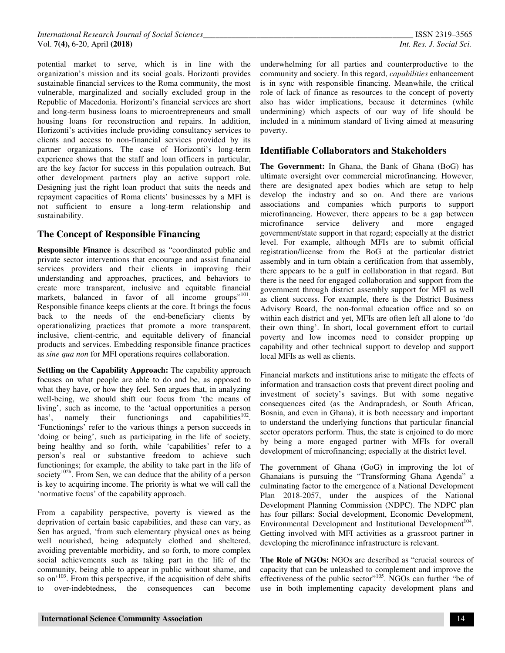potential market to serve, which is in line with the organization's mission and its social goals. Horizonti provides sustainable financial services to the Roma community, the most vulnerable, marginalized and socially excluded group in the Republic of Macedonia. Horizonti's financial services are short and long-term business loans to microentrepreneurs and small housing loans for reconstruction and repairs. In addition, Horizonti's activities include providing consultancy services to clients and access to non-financial services provided by its partner organizations. The case of Horizonti's long-term experience shows that the staff and loan officers in particular, are the key factor for success in this population outreach. But other development partners play an active support role. Designing just the right loan product that suits the needs and repayment capacities of Roma clients' businesses by a MFI is not sufficient to ensure a long-term relationship and sustainability.

## **The Concept of Responsible Financing**

**Responsible Finance** is described as "coordinated public and private sector interventions that encourage and assist financial services providers and their clients in improving their understanding and approaches, practices, and behaviors to create more transparent, inclusive and equitable financial markets, balanced in favor of all income groups"<sup>101</sup>. Responsible finance keeps clients at the core. It brings the focus back to the needs of the end-beneficiary clients by operationalizing practices that promote a more transparent, inclusive, client-centric, and equitable delivery of financial products and services. Embedding responsible finance practices as *sine qua non* for MFI operations requires collaboration.

**Settling on the Capability Approach:** The capability approach focuses on what people are able to do and be, as opposed to what they have, or how they feel. Sen argues that, in analyzing well-being, we should shift our focus from 'the means of living', such as income, to the 'actual opportunities a person has', namely their functionings and capabilities  $102$ . 'Functionings' refer to the various things a person succeeds in 'doing or being', such as participating in the life of society, being healthy and so forth, while 'capabilities' refer to a person's real or substantive freedom to achieve such functionings; for example, the ability to take part in the life of society<sup>102b</sup>. From Sen, we can deduce that the ability of a person is key to acquiring income. The priority is what we will call the 'normative focus' of the capability approach.

From a capability perspective, poverty is viewed as the deprivation of certain basic capabilities, and these can vary, as Sen has argued, 'from such elementary physical ones as being well nourished, being adequately clothed and sheltered, avoiding preventable morbidity, and so forth, to more complex social achievements such as taking part in the life of the community, being able to appear in public without shame, and so on<sup>'103</sup>. From this perspective, if the acquisition of debt shifts to over-indebtedness, the consequences can become

underwhelming for all parties and counterproductive to the community and society. In this regard, *capabilities* enhancement is in sync with responsible financing. Meanwhile, the critical role of lack of finance as resources to the concept of poverty also has wider implications, because it determines (while undermining) which aspects of our way of life should be included in a minimum standard of living aimed at measuring poverty.

### **Identifiable Collaborators and Stakeholders**

**The Government:** In Ghana, the Bank of Ghana (BoG) has ultimate oversight over commercial microfinancing. However, there are designated apex bodies which are setup to help develop the industry and so on. And there are various associations and companies which purports to support microfinancing. However, there appears to be a gap between microfinance service delivery and more engaged government/state support in that regard; especially at the district level. For example, although MFIs are to submit official registration/license from the BoG at the particular district assembly and in turn obtain a certification from that assembly, there appears to be a gulf in collaboration in that regard. But there is the need for engaged collaboration and support from the government through district assembly support for MFI as well as client success. For example, there is the District Business Advisory Board, the non-formal education office and so on within each district and yet, MFIs are often left all alone to 'do their own thing'. In short, local government effort to curtail poverty and low incomes need to consider propping up capability and other technical support to develop and support local MFIs as well as clients.

Financial markets and institutions arise to mitigate the effects of information and transaction costs that prevent direct pooling and investment of society's savings. But with some negative consequences cited (as the Andrapradesh, or South African, Bosnia, and even in Ghana), it is both necessary and important to understand the underlying functions that particular financial sector operators perform. Thus, the state is enjoined to do more by being a more engaged partner with MFIs for overall development of microfinancing; especially at the district level.

The government of Ghana (GoG) in improving the lot of Ghanaians is pursuing the "Transforming Ghana Agenda" a culminating factor to the emergence of a National Development Plan 2018-2057, under the auspices of the National Development Planning Commission (NDPC). The NDPC plan has four pillars: Social development, Economic Development, Environmental Development and Institutional Development<sup>104</sup>. Getting involved with MFI activities as a grassroot partner in developing the microfinance infrastructure is relevant.

**The Role of NGOs:** NGOs are described as "crucial sources of capacity that can be unleashed to complement and improve the effectiveness of the public sector"<sup>105</sup>. NGOs can further "be of use in both implementing capacity development plans and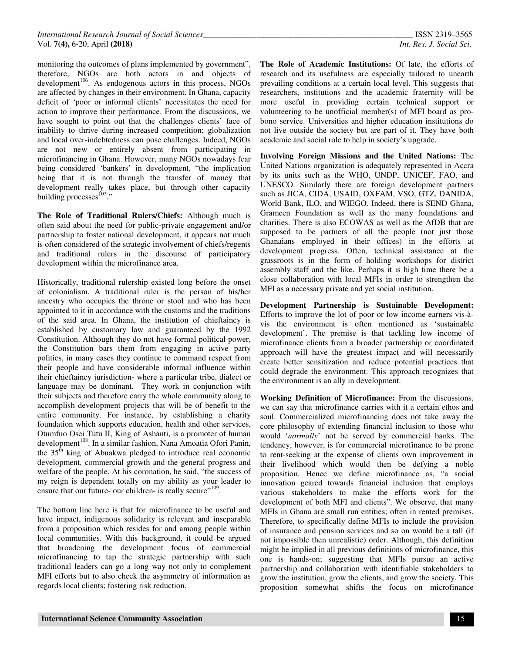monitoring the outcomes of plans implemented by government", therefore, NGOs are both actors in and objects of development<sup>106</sup>. As endogenous actors in this process, NGOs are affected by changes in their environment. In Ghana, capacity deficit of 'poor or informal clients' necessitates the need for action to improve their performance. From the discussions, we have sought to point out that the challenges clients' face of inability to thrive during increased competition; globalization and local over-indebtedness can pose challenges. Indeed, NGOs are not new or entirely absent from participating in microfinancing in Ghana. However, many NGOs nowadays fear being considered 'bankers' in development, "the implication being that it is not through the transfer of money that development really takes place, but through other capacity building processes $^{107}$ ."

**The Role of Traditional Rulers/Chiefs:** Although much is often said about the need for public-private engagement and/or partnership to foster national development, it appears not much is often considered of the strategic involvement of chiefs/regents and traditional rulers in the discourse of participatory development within the microfinance area.

Historically, traditional rulership existed long before the onset of colonialism. A traditional ruler is the person of his/her ancestry who occupies the throne or stool and who has been appointed to it in accordance with the customs and the traditions of the said area. In Ghana, the institution of chieftaincy is established by customary law and guaranteed by the 1992 Constitution. Although they do not have formal political power, the Constitution bars them from engaging in active party politics, in many cases they continue to command respect from their people and have considerable informal influence within their chieftaincy jurisdiction- where a particular tribe, dialect or language may be dominant. They work in conjunction with their subjects and therefore carry the whole community along to accomplish development projects that will be of benefit to the entire community. For instance, by establishing a charity foundation which supports education, health and other services, Otumfuo Osei Tutu II, King of Ashanti, is a promoter of human development<sup>108</sup>. In a similar fashion, Nana Amoatia Ofori Panin, the 35<sup>th</sup> king of Abuakwa pledged to introduce real economic development, commercial growth and the general progress and welfare of the people. At his coronation, he said, "the success of my reign is dependent totally on my ability as your leader to ensure that our future- our children- is really secure"<sup>109</sup>.

The bottom line here is that for microfinance to be useful and have impact, indigenous solidarity is relevant and inseparable from a proposition which resides for and among people within local communities. With this background, it could be argued that broadening the development focus of commercial microfinancing to tap the strategic partnership with such traditional leaders can go a long way not only to complement MFI efforts but to also check the asymmetry of information as regards local clients; fostering risk reduction.

**The Role of Academic Institutions:** Of late, the efforts of research and its usefulness are especially tailored to unearth prevailing conditions at a certain local level. This suggests that researchers, institutions and the academic fraternity will be more useful in providing certain technical support or volunteering to be unofficial member(s) of MFI board as probono service. Universities and higher education institutions do not live outside the society but are part of it. They have both academic and social role to help in society's upgrade.

**Involving Foreign Missions and the United Nations:** The United Nations organization is adequately represented in Accra by its units such as the WHO, UNDP, UNICEF, FAO, and UNESCO. Similarly there are foreign development partners such as JICA, CIDA, USAID, OXFAM, VSO, GTZ, DANIDA, World Bank, ILO, and WIEGO. Indeed, there is SEND Ghana, Grameen Foundation as well as the many foundations and charities. There is also ECOWAS as well as the AfDB that are supposed to be partners of all the people (not just those Ghanaians employed in their offices) in the efforts at development progress. Often, technical assistance at the grassroots is in the form of holding workshops for district assembly staff and the like. Perhaps it is high time there be a close collaboration with local MFIs in order to strengthen the MFI as a necessary private and yet social institution.

**Development Partnership is Sustainable Development:** Efforts to improve the lot of poor or low income earners vis-àvis the environment is often mentioned as 'sustainable development'. The premise is that tackling low income of microfinance clients from a broader partnership or coordinated approach will have the greatest impact and will necessarily create better sensitization and reduce potential practices that could degrade the environment. This approach recognizes that the environment is an ally in development.

**Working Definition of Microfinance:** From the discussions, we can say that microfinance carries with it a certain ethos and soul. Commercialized microfinancing does not take away the core philosophy of extending financial inclusion to those who would '*normally*' not be served by commercial banks. The tendency, however, is for commercial microfinance to be prone to rent-seeking at the expense of clients own improvement in their livelihood which would then be defying a noble proposition. Hence we define microfinance as, "a social innovation geared towards financial inclusion that employs various stakeholders to make the efforts work for the development of both MFI and clients". We observe, that many MFIs in Ghana are small run entities; often in rented premises. Therefore, to specifically define MFIs to include the provision of insurance and pension services and so on would be a tall (if not impossible then unrealistic) order. Although, this definition might be implied in all previous definitions of microfinance, this one is hands-on; suggesting that MFIs pursue an active partnership and collaboration with identifiable stakeholders to grow the institution, grow the clients, and grow the society. This proposition somewhat shifts the focus on microfinance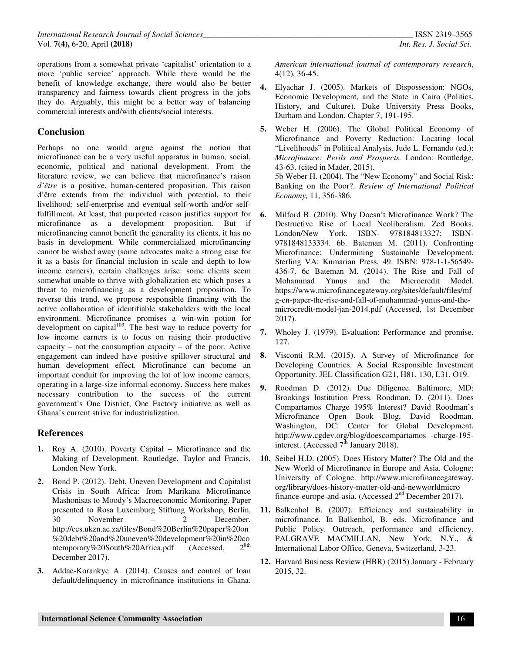operations from a somewhat private 'capitalist' orientation to a more 'public service' approach. While there would be the benefit of knowledge exchange, there would also be better transparency and fairness towards client progress in the jobs they do. Arguably, this might be a better way of balancing commercial interests and/with clients/social interests.

## **Conclusion**

Perhaps no one would argue against the notion that microfinance can be a very useful apparatus in human, social, economic, political and national development. From the literature review, we can believe that microfinance's raison *d'être* is a positive, human-centered proposition. This raison d'être extends from the individual with potential, to their livelihood: self-enterprise and eventual self-worth and/or selffulfillment. At least, that purported reason justifies support for microfinance as a development proposition. But if microfinancing cannot benefit the generality its clients, it has no basis in development. While commercialized microfinancing cannot be wished away (some advocates make a strong case for it as a basis for financial inclusion in scale and depth to low income earners), certain challenges arise: some clients seem somewhat unable to thrive with globalization etc which poses a threat to microfinancing as a development proposition. To reverse this trend, we propose responsible financing with the active collaboration of identifiable stakeholders with the local environment. Microfinance promises a win-win potion for development on capital $103$ . The best way to reduce poverty for low income earners is to focus on raising their productive capacity – not the consumption capacity – of the poor. Active engagement can indeed have positive spillover structural and human development effect. Microfinance can become an important conduit for improving the lot of low income earners, operating in a large-size informal economy. Success here makes necessary contribution to the success of the current government's One District, One Factory initiative as well as Ghana's current strive for industrialization.

### **References**

- **1.** Roy A. (2010). Poverty Capital Microfinance and the Making of Development. Routledge, Taylor and Francis, London New York.
- **2.** Bond P. (2012). Debt, Uneven Development and Capitalist Crisis in South Africa: from Marikana Microfinance Mashonisas to Moody's Macroeconomic Monitoring. Paper presented to Rosa Luxemburg Stiftung Workshop, Berlin, 30 November – 2 December. http://ccs.ukzn.ac.za/files/Bond%20Berlin%20paper%20on %20debt%20and%20uneven%20development%20in%20co<br>ntemporary%20South%20Africa pdf (Accessed 2<sup>8th</sup> ntemporary%20South%20Africa.pdf (Accessed, December 2017).
- **3.** Addae-Korankye A. (2014). Causes and control of loan default/delinquency in microfinance institutions in Ghana.

*American international journal of contemporary research*, 4(12), 36-45.

- **4.** Elyachar J. (2005). Markets of Dispossession: NGOs, Economic Development, and the State in Cairo (Politics, History, and Culture). Duke University Press Books, Durham and London. Chapter 7, 191-195.
- **5.** Weber H. (2006). The Global Political Economy of Microfinance and Poverty Reduction: Locating local "Livelihoods" in Political Analysis. Jude L. Fernando (ed.): *Microfinance: Perils and Prospects.* London: Routledge, 43-63. (cited in Mader, 2015). 5b Weber H. (2004). The "New Economy" and Social Risk: Banking on the Poor?. *Review of International Political Economy,* 11, 356-386.
- **6.** Milford B. (2010). Why Doesn't Microfinance Work? The Destructive Rise of Local Neoliberalism. Zed Books, London/New York. ISBN- 978184813327; ISBN-9781848133334. 6b. Bateman M. (2011). Confronting Microfinance: Undermining Sustainable Development. Sterling VA: Kumarian Press, 49. ISBN: 978-1-1-56549- 436-7. 6c Bateman M. (2014). The Rise and Fall of Mohammad Yunus and the Microcredit Model. https://www.microfinancegateway.org/sites/default/files/mf g-en-paper-the-rise-and-fall-of-muhammad-yunus-and-themicrocredit-model-jan-2014.pdf (Accessed, 1st December 2017).
- **7.** Wholey J. (1979). Evaluation: Performance and promise. 127.
- **8.** Visconti R.M. (2015). A Survey of Microfinance for Developing Countries: A Social Responsible Investment Opportunity. JEL Classification G21, H81, 130, L31, O19.
- **9.** Roodman D. (2012). Due Diligence. Baltimore, MD: Brookings Institution Press. Roodman, D. (2011). Does Compartamos Charge 195% Interest? David Roodman's Microfinance Open Book Blog, David Roodman. Washington, DC: Center for Global Development. http://www.cgdev.org/blog/doescompartamos -charge-195 interest. (Accessed  $7^{\text{th}}$  January 2018).
- **10.** Seibel H.D. (2005). Does History Matter? The Old and the New World of Microfinance in Europe and Asia. Cologne: University of Cologne. http://www.microfinancegateway. org/library/does-history-matter-old-and-newworldmicro finance-europe-and-asia. (Accessed 2<sup>nd</sup> December 2017).
- **11.** Balkenhol B. (2007). Efficiency and sustainability in microfinance. In Balkenhol, B. eds. Microfinance and Public Policy. Outreach, performance and efficiency. PALGRAVE MACMILLAN, New York, N.Y., & International Labor Office, Geneva, Switzerland, 3-23.
- **12.** Harvard Business Review (HBR) (2015) January February 2015, 32.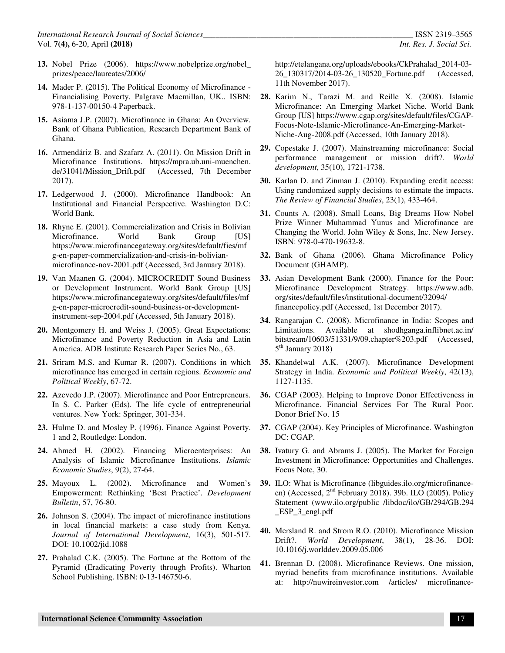- **13.** Nobel Prize (2006). https://www.nobelprize.org/nobel\_ prizes/peace/laureates/2006/
- **14.** Mader P. (2015). The Political Economy of Microfinance Financialising Poverty. Palgrave Macmillan, UK.. ISBN: 978-1-137-00150-4 Paperback.
- **15.** Asiama J.P. (2007). Microfinance in Ghana: An Overview. Bank of Ghana Publication, Research Department Bank of Ghana.
- **16.** Armendáriz B. and Szafarz A. (2011). On Mission Drift in Microfinance Institutions. https://mpra.ub.uni-muenchen. de/31041/Mission\_Drift.pdf (Accessed, 7th December 2017).
- **17.** Ledgerwood J. (2000). Microfinance Handbook: An Institutional and Financial Perspective. Washington D.C: World Bank.
- **18.** Rhyne E. (2001). Commercialization and Crisis in Bolivian Microfinance. World Bank Group [US] https://www.microfinancegateway.org/sites/default/fies/mf g-en-paper-commercialization-and-crisis-in-bolivianmicrofinance-nov-2001.pdf (Accessed, 3rd January 2018).
- **19.** Van Maanen G. (2004). MICROCREDIT Sound Business or Development Instrument. World Bank Group [US] https://www.microfinancegateway.org/sites/default/files/mf g-en-paper-microcredit-sound-business-or-developmentinstrument-sep-2004.pdf (Accessed, 5th January 2018).
- **20.** Montgomery H. and Weiss J. (2005). Great Expectations: Microfinance and Poverty Reduction in Asia and Latin America. ADB Institute Research Paper Series No., 63.
- **21.** Sriram M.S. and Kumar R. (2007). Conditions in which microfinance has emerged in certain regions. *Economic and Political Weekly*, 67-72.
- **22.** Azevedo J.P. (2007). Microfinance and Poor Entrepreneurs. In S. C. Parker (Eds). The life cycle of entrepreneurial ventures. New York: Springer, 301-334.
- **23.** Hulme D. and Mosley P. (1996). Finance Against Poverty. 1 and 2, Routledge: London.
- **24.** Ahmed H. (2002). Financing Microenterprises: An Analysis of Islamic Microfinance Institutions. *Islamic Economic Studies*, 9(2), 27-64.
- **25.** Mayoux L. (2002). Microfinance and Women's Empowerment: Rethinking 'Best Practice'. *Development Bulletin*, 57, 76-80.
- **26.** Johnson S. (2004). The impact of microfinance institutions in local financial markets: a case study from Kenya. *Journal of International Development*, 16(3), 501-517. DOI: 10.1002/jid.1088
- **27.** Prahalad C.K. (2005). The Fortune at the Bottom of the Pyramid (Eradicating Poverty through Profits). Wharton School Publishing. ISBN: 0-13-146750-6.

http://etelangana.org/uploads/ebooks/CkPrahalad\_2014-03- 26\_130317/2014-03-26\_130520\_Fortune.pdf (Accessed, 11th November 2017).

- **28.** Karim N., Tarazi M. and Reille X. (2008). Islamic Microfinance: An Emerging Market Niche. World Bank Group [US] https://www.cgap.org/sites/default/files/CGAP-Focus-Note-Islamic-Microfinance-An-Emerging-Market-Niche-Aug-2008.pdf (Accessed, 10th January 2018).
- **29.** Copestake J. (2007). Mainstreaming microfinance: Social performance management or mission drift?. *World development*, 35(10), 1721-1738.
- **30.** Karlan D. and Zinman J. (2010). Expanding credit access: Using randomized supply decisions to estimate the impacts. *The Review of Financial Studies*, 23(1), 433-464.
- **31.** Counts A. (2008). Small Loans, Big Dreams How Nobel Prize Winner Muhammad Yunus and Microfinance are Changing the World. John Wiley & Sons, Inc. New Jersey. ISBN: 978-0-470-19632-8.
- **32.** Bank of Ghana (2006). Ghana Microfinance Policy Document (GHAMP).
- **33.** Asian Development Bank (2000). Finance for the Poor: Microfinance Development Strategy. https://www.adb. org/sites/default/files/institutional-document/32094/ financepolicy.pdf (Accessed, 1st December 2017).
- **34.** Rangarajan C. (2008). Microfinance in India: Scopes and Limitations. Available at shodhganga.inflibnet.ac.in/ bitstream/10603/51331/9/09.chapter%203.pdf (Accessed, 5<sup>th</sup> January 2018)
- **35.** Khandelwal A.K. (2007). Microfinance Development Strategy in India. *Economic and Political Weekly*, 42(13), 1127-1135.
- **36.** CGAP (2003). Helping to Improve Donor Effectiveness in Microfinance. Financial Services For The Rural Poor. Donor Brief No. 15
- **37.** CGAP (2004). Key Principles of Microfinance. Washington DC: CGAP.
- **38.** Ivatury G. and Abrams J. (2005). The Market for Foreign Investment in Microfinance: Opportunities and Challenges. Focus Note, 30.
- **39.** ILO: What is Microfinance (libguides.ilo.org/microfinanceen) (Accessed,  $2<sup>nd</sup>$  February 2018). 39b. ILO (2005). Policy Statement (www.ilo.org/public /libdoc/ilo/GB/294/GB.294 \_ESP\_3\_engl.pdf
- **40.** Mersland R. and Strom R.O. (2010). Microfinance Mission Drift?. *World Development*, 38(1), 28-36. DOI: 10.1016/j.worlddev.2009.05.006
- **41.** Brennan D. (2008). Microfinance Reviews. One mission, myriad benefits from microfinance institutions. Available at: http://nuwireinvestor.com /articles/ microfinance-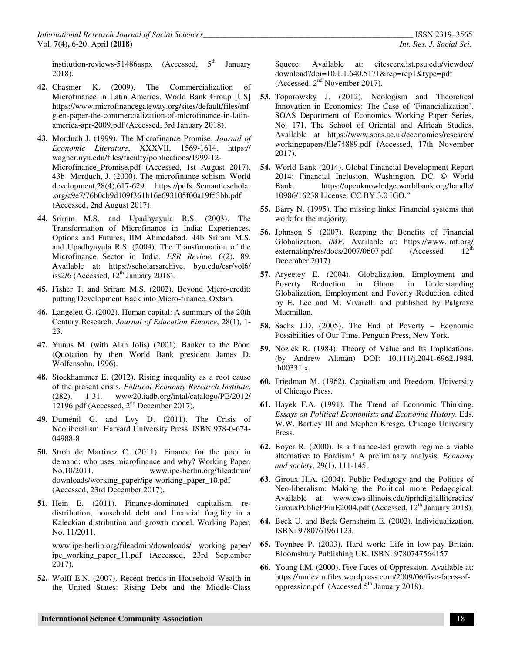institution-reviews-51486aspx (Accessed,  $5<sup>th</sup>$  January 2018).

- **42.** Chasmer K. (2009). The Commercialization of Microfinance in Latin America. World Bank Group [US] https://www.microfinancegateway.org/sites/default/files/mf g-en-paper-the-commercialization-of-microfinance-in-latinamerica-apr-2009.pdf (Accessed, 3rd January 2018).
- **43.** Morduch J. (1999). The Microfinance Promise. *Journal of Economic Literature*, XXXVII, 1569-1614. https:// wagner.nyu.edu/files/faculty/poblications/1999-12- Microfinance\_Promise.pdf (Accessed, 1st August 2017). 43b Morduch, J. (2000). The microfinance schism. World development,28(4),617-629. https://pdfs. Semanticscholar .org/c9e7/76b0cb9d109f361b16e693105f00a19f53bb.pdf (Accessed, 2nd August 2017).
- **44.** Sriram M.S. and Upadhyayula R.S. (2003). The Transformation of Microfinance in India: Experiences. Options and Futures, IIM Ahmedabad. 44b Sriram M.S. and Upadhyayula R.S. (2004). The Transformation of the Microfinance Sector in India. *ESR Review*, 6(2), 89. Available at: https://scholarsarchive. byu.edu/esr/vol6/ iss2/6 (Accessed,  $12<sup>th</sup>$  January 2018).
- **45.** Fisher T. and Sriram M.S. (2002). Beyond Micro-credit: putting Development Back into Micro-finance. Oxfam.
- **46.** Langelett G. (2002). Human capital: A summary of the 20th Century Research. *Journal of Education Finance*, 28(1), 1- 23.
- **47.** Yunus M. (with Alan Jolis) (2001). Banker to the Poor. (Quotation by then World Bank president James D. Wolfensohn, 1996).
- **48.** Stockhammer E. (2012). Rising inequality as a root cause of the present crisis. *Political Economy Research Institute*, (282), 1-31. www20.iadb.org/intal/catalogo/PE/2012/ 12196.pdf (Accessed, 2nd December 2017).
- **49.** Duménil G. and Lvy D. (2011). The Crisis of Neoliberalism. Harvard University Press. ISBN 978-0-674- 04988-8
- **50.** Stroh de Martinez C. (2011). Finance for the poor in demand: who uses microfinance and why? Working Paper. No.10/2011. www.ipe-berlin.org/fileadmin/ downloads/working\_paper/ipe-working\_paper\_10.pdf (Accessed, 23rd December 2017).
- **51.** Hein E. (2011). Finance-dominated capitalism, redistribution, household debt and financial fragility in a Kaleckian distribution and growth model. Working Paper, No. 11/2011.

www.ipe-berlin.org/fileadmin/downloads/ working\_paper/ ipe\_working\_paper\_11.pdf (Accessed, 23rd September 2017).

**52.** Wolff E.N. (2007). Recent trends in Household Wealth in the United States: Rising Debt and the Middle-Class Squeee. Available at: citeseerx.ist.psu.edu/viewdoc/ download?doi=10.1.1.640.5171&rep=rep1&type=pdf (Accessed, 2nd November 2017).

- **53.** Toporowsky J. (2012). Neologism and Theoretical Innovation in Economics: The Case of 'Financialization'. SOAS Department of Economics Working Paper Series, No. 171, The School of Oriental and African Studies. Available at https://www.soas.ac.uk/economics/research/ workingpapers/file74889.pdf (Accessed, 17th November 2017).
- **54.** World Bank (2014). Global Financial Development Report 2014: Financial Inclusion. Washington, DC. © World Bank. https://openknowledge.worldbank.org/handle/ 10986/16238 License: CC BY 3.0 IGO."
- **55.** Barry N. (1995). The missing links: Financial systems that work for the majority.
- **56.** Johnson S. (2007). Reaping the Benefits of Financial Globalization. *IMF*. Available at: https://www.imf.org/ external/np/res/docs/2007/0607.pdf (Accessed 12<sup>th</sup>) external/np/res/docs/2007/0607.pdf (Accessed December 2017).
- **57.** Aryeetey E. (2004). Globalization, Employment and Poverty Reduction in Ghana. in Understanding Globalization, Employment and Poverty Reduction edited by E. Lee and M. Vivarelli and published by Palgrave Macmillan.
- **58.** Sachs J.D. (2005). The End of Poverty Economic Possibilities of Our Time. Penguin Press, New York.
- **59.** Nozick R. (1984). Theory of Value and Its Implications. (by Andrew Altman) DOI: 10.111/j.2041-6962.1984. tb00331.x.
- **60.** Friedman M. (1962). Capitalism and Freedom. University of Chicago Press.
- **61.** Hayek F.A. (1991). The Trend of Economic Thinking. *Essays on Political Economists and Economic History*. Eds. W.W. Bartley III and Stephen Kresge. Chicago University Press.
- **62.** Boyer R. (2000). Is a finance-led growth regime a viable alternative to Fordism? A preliminary analysis. *Economy and society*, 29(1), 111-145.
- **63.** Giroux H.A. (2004). Public Pedagogy and the Politics of Neo-liberalism: Making the Political more Pedagogical. Available at: www.cws.illinois.edu/iprhdigitalliteracies/ GirouxPublicPFinE2004.pdf (Accessed, 12<sup>th</sup> January 2018).
- **64.** Beck U. and Beck-Gernsheim E. (2002). Individualization. ISBN: 9780761961123.
- **65.** Toynbee P. (2003). Hard work: Life in low-pay Britain. Bloomsbury Publishing UK. ISBN: 9780747564157
- **66.** Young I.M. (2000). Five Faces of Oppression. Available at: https://mrdevin.files.wordpress.com/2009/06/five-faces-ofoppression.pdf (Accessed  $5<sup>th</sup>$  January 2018).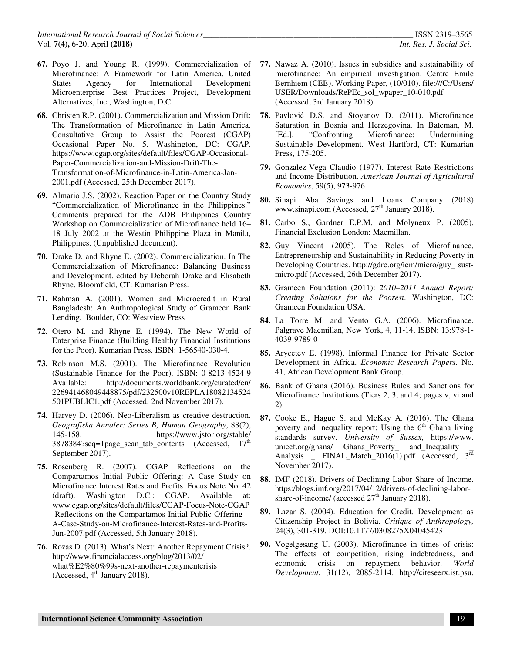- **67.** Poyo J. and Young R. (1999). Commercialization of Microfinance: A Framework for Latin America. United States Agency for International Development Microenterprise Best Practices Project, Development Alternatives, Inc., Washington, D.C.
- **68.** Christen R.P. (2001). Commercialization and Mission Drift: The Transformation of Microfinance in Latin America. Consultative Group to Assist the Poorest (CGAP) Occasional Paper No. 5. Washington, DC: CGAP. https://www.cgap.org/sites/default/files/CGAP-Occasional-Paper-Commercialization-and-Mission-Drift-The-Transformation-of-Microfinance-in-Latin-America-Jan-2001.pdf (Accessed, 25th December 2017).
- **69.** Almario J.S. (2002). Reaction Paper on the Country Study "Commercialization of Microfinance in the Philippines." Comments prepared for the ADB Philippines Country Workshop on Commercialization of Microfinance held 16– 18 July 2002 at the Westin Philippine Plaza in Manila, Philippines. (Unpublished document).
- **70.** Drake D. and Rhyne E. (2002). Commercialization. In The Commercialization of Microfinance: Balancing Business and Development. edited by Deborah Drake and Elisabeth Rhyne. Bloomfield, CT: Kumarian Press.
- **71.** Rahman A. (2001). Women and Microcredit in Rural Bangladesh: An Anthropological Study of Grameen Bank Lending. Boulder, CO: Westview Press
- **72.** Otero M. and Rhyne E. (1994). The New World of Enterprise Finance (Building Healthy Financial Institutions for the Poor). Kumarian Press. ISBN: 1-56540-030-4.
- **73.** Robinson M.S. (2001). The Microfinance Revolution (Sustainable Finance for the Poor). ISBN: 0-8213-4524-9 Available: http://documents.worldbank.org/curated/en/ 226941468049448875/pdf/232500v10REPLA18082134524 501PUBLIC1.pdf (Accessed, 2nd November 2017).
- **74.** Harvey D. (2006). Neo‐Liberalism as creative destruction. *Geografiska Annaler: Series B, Human Geography*, 88(2), 145-158. https://www.jstor.org/stable/ 3878384?seq=1page\_scan\_tab\_contents (Accessed, 17<sup>th</sup> September 2017).
- **75.** Rosenberg R. (2007). CGAP Reflections on the Compartamos Initial Public Offering: A Case Study on Microfinance Interest Rates and Profits. Focus Note No. 42 (draft). Washington D.C.: CGAP. Available at: www.cgap.org/sites/default/files/CGAP-Focus-Note-CGAP -Reflections-on-the-Compartamos-Initial-Public-Offering-A-Case-Study-on-Microfinance-Interest-Rates-and-Profits-Jun-2007.pdf (Accessed, 5th January 2018).
- **76.** Rozas D. (2013). What's Next: Another Repayment Crisis?. http://www.financialaccess.org/blog/2013/02/ what%E2%80%99s-next-another-repaymentcrisis (Accessed,  $4<sup>th</sup>$  January 2018).
- **77.** Nawaz A. (2010). Issues in subsidies and sustainability of microfinance: An empirical investigation. Centre Emile Bernhiem (CEB). Working Paper, (10/010). file:///C:/Users/ USER/Downloads/RePEc\_sol\_wpaper\_10-010.pdf (Accessed, 3rd January 2018).
- **78.** Pavlović D.S. and Stoyanov D. (2011). Microfinance Saturation in Bosnia and Herzegovina. In Bateman, M. [Ed.], "Confronting Microfinance: Undermining Sustainable Development. West Hartford, CT: Kumarian Press, 175-205.
- **79.** Gonzalez-Vega Claudio (1977). Interest Rate Restrictions and Income Distribution. *American Journal of Agricultural Economics*, 59(5), 973-976.
- **80.** Sinapi Aba Savings and Loans Company (2018) www.sinapi.com (Accessed,  $27<sup>th</sup>$  January 2018).
- **81.** Carbo S., Gardner E.P.M. and Molyneux P. (2005). Financial Exclusion London: Macmillan.
- **82.** Guy Vincent (2005). The Roles of Microfinance, Entrepreneurship and Sustainability in Reducing Poverty in Developing Countries. http://gdrc.org/icm/micro/guy\_ sustmicro.pdf (Accessed, 26th December 2017).
- **83.** Grameen Foundation (2011): *2010–2011 Annual Report: Creating Solutions for the Poorest*. Washington, DC: Grameen Foundation USA.
- **84.** La Torre M. and Vento G.A. (2006). Microfinance. Palgrave Macmillan, New York, 4, 11-14. ISBN: 13:978-1- 4039-9789-0
- **85.** Aryeetey E. (1998). Informal Finance for Private Sector Development in Africa. *Economic Research Papers*. No. 41, African Development Bank Group.
- **86.** Bank of Ghana (2016). Business Rules and Sanctions for Microfinance Institutions (Tiers 2, 3, and 4; pages v, vi and 2).
- **87.** Cooke E., Hague S. and McKay A. (2016). The Ghana poverty and inequality report: Using the  $6<sup>th</sup>$  Ghana living standards survey. *University of Sussex*, https://www. unicef.org/ghana/ Ghana\_Poverty\_ and\_Inequality Analysis \_ FINAL\_Match\_2016(1).pdf (Accessed, 3<sup>rd</sup> November 2017).
- **88.** IMF (2018). Drivers of Declining Labor Share of Income. https:/blogs.imf.org/2017/04/12/drivers-of-declining-laborshare-of-income/ (accessed  $27<sup>th</sup>$  January 2018).
- **89.** Lazar S. (2004). Education for Credit. Development as Citizenship Project in Bolivia. *Critique of Anthropology,* 24(3), 301-319. DOI:10.1177/0308275X04045423
- **90.** Vogelgesang U. (2003). Microfinance in times of crisis: The effects of competition, rising indebtedness, and economic crisis on repayment behavior. *World Development*, 31(12), 2085-2114. http://citeseerx.ist.psu.